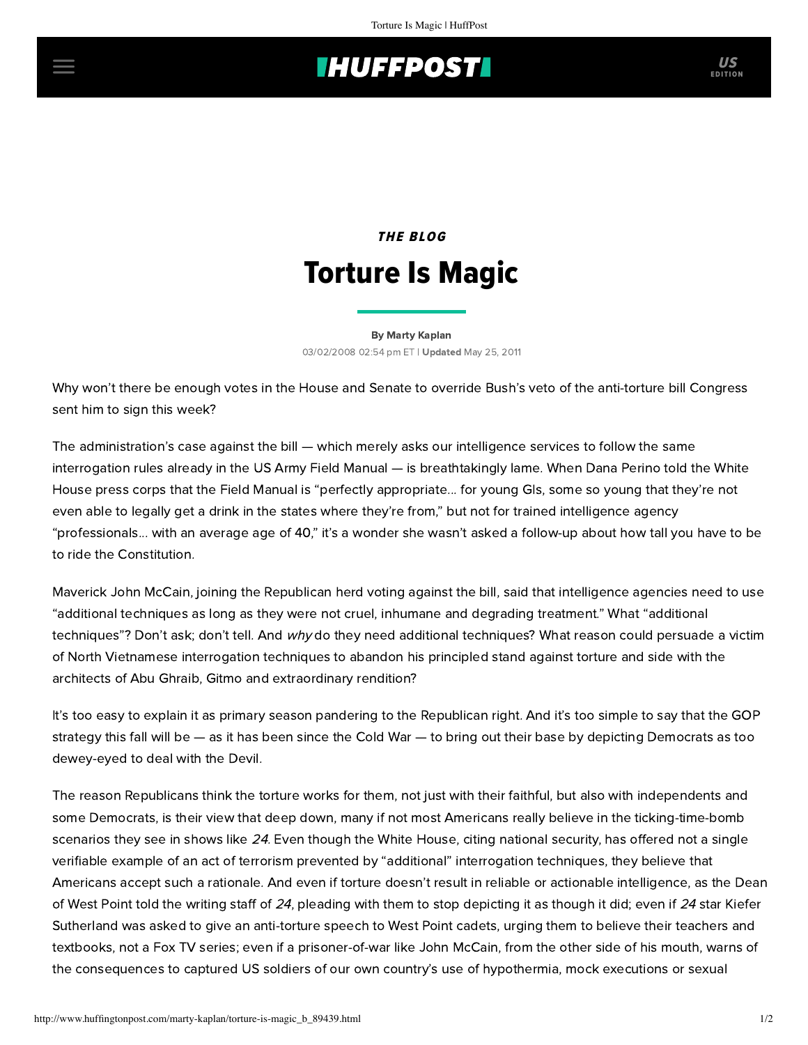## **INUFFPOSTI** US

## THE BLOG Torture Is Magic

[By Marty Kaplan](http://www.huffingtonpost.com/author/marty-kaplan) 03/02/2008 02:54 pm ET | Updated May 25, 2011

Why won't there be enough votes in the House and Senate to override Bush's veto of the anti-torture bill Congress sent him to sign this week?

The administration's case against the bill — which merely asks our intelligence services to follow the same interrogation rules already in the US Army Field Manual — is breathtakingly lame. When Dana Perino told the White [House press corps that the Field Manual is "perfectly appropriate... for young GIs, some so young that they're not](http://thinkprogress.org/2008/02/14/perino-torture/) even able to legally get a drink in the states where they're from," but not for trained intelligence agency "professionals... with an average age of 40," it's a wonder she wasn't asked a follow-up about how tall you have to be to ride the Constitution.

Maverick John McCain, joining the Republican herd voting against the bill, [said](http://thinkprogress.org/2008/02/20/mccain-torture-veto/) that intelligence agencies need to use "additional techniques as long as they were not cruel, inhumane and degrading treatment." What "additional techniques"? Don't ask; don't tell. And why do they need additional techniques? What reason could persuade a victim of North Vietnamese interrogation techniques to abandon his principled stand against torture and side with the architects of Abu Ghraib, Gitmo and extraordinary rendition?

It's too easy to explain it as primary season pandering to the Republican right. And it's too simple to say that the GOP strategy this fall will be — as it has been since the Cold War — to bring out their base by depicting Democrats as too dewey-eyed to deal with the Devil.

The reason Republicans think the torture works for them, not just with their faithful, but also with independents and some Democrats, is their view that deep down, many if not most Americans really believe in the ticking-time-bomb scenarios they see in shows like 24. Even though the White House, citing national security, has offered not a single verifiable example of an act of terrorism prevented by "additional" interrogation techniques, they believe that [Americans accept such a rationale. And even if torture doesn't result in reliable or actionable intelligence, as the Dean](http://www.democracynow.org/2007/2/22/is_torture_on_hit_fox_tv) of West Point told the writing staff of 24, pleading with them to stop depicting it as though it did; even if 24 star Kiefer Sutherland [was asked to give an anti-torture speech](http://www.hollywood.com/news/US_Army_Invites_Sutherland_to_Give_Anti_Torture_Speech/3662740) to West Point cadets, urging them to believe their teachers and textbooks, not a Fox TV series; even if a prisoner-of-war like John McCain, from the other side of his mouth, warns of the consequences to captured US soldiers of our own country's use of hypothermia, mock executions or sexual